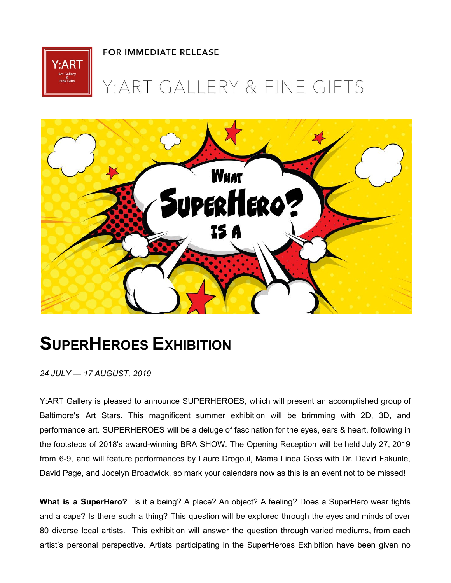**FOR IMMEDIATE RELEASE** 



## Y: ART GALLERY & FINE GIFTS



## **SUPERHEROES EXHIBITION**

*24 JULY — 17 AUGUST, 2019*

Y:ART Gallery is pleased to announce SUPERHEROES, which will present an accomplished group of Baltimore's Art Stars. This magnificent summer exhibition will be brimming with 2D, 3D, and performance art. SUPERHEROES will be a deluge of fascination for the eyes, ears & heart, following in the footsteps of 2018's award-winning BRA SHOW. The Opening Reception will be held July 27, 2019 from 6-9, and will feature performances by Laure Drogoul, Mama Linda Goss with Dr. David Fakunle, David Page, and Jocelyn Broadwick, so mark your calendars now as this is an event not to be missed!

**What is a SuperHero?** Is it a being? A place? An object? A feeling? Does a SuperHero wear tights and a cape? Is there such a thing? This question will be explored through the eyes and minds of over 80 diverse local artists. This exhibition will answer the question through varied mediums, from each artist's personal perspective. Artists participating in the SuperHeroes Exhibition have been given no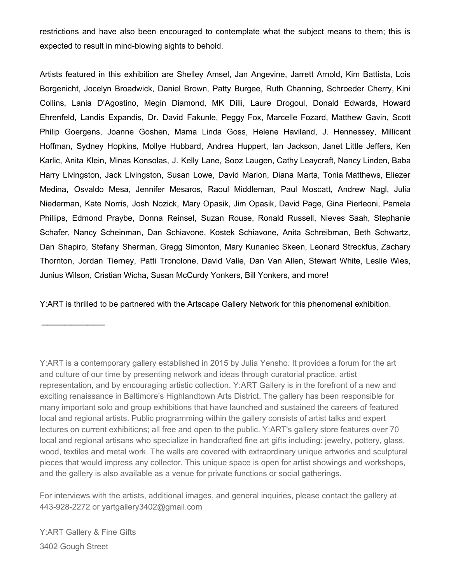restrictions and have also been encouraged to contemplate what the subject means to them; this is expected to result in mind-blowing sights to behold.

Artists featured in this exhibition are Shelley Amsel, Jan Angevine, Jarrett Arnold, Kim Battista, Lois Borgenicht, Jocelyn Broadwick, Daniel Brown, Patty Burgee, Ruth Channing, Schroeder Cherry, Kini Collins, Lania D'Agostino, Megin Diamond, MK Dilli, Laure Drogoul, Donald Edwards, Howard Ehrenfeld, Landis Expandis, Dr. David Fakunle, Peggy Fox, Marcelle Fozard, Matthew Gavin, Scott Philip Goergens, Joanne Goshen, Mama Linda Goss, Helene Haviland, J. Hennessey, Millicent Hoffman, Sydney Hopkins, Mollye Hubbard, Andrea Huppert, Ian Jackson, Janet Little Jeffers, Ken Karlic, Anita Klein, Minas Konsolas, J. Kelly Lane, Sooz Laugen, Cathy Leaycraft, Nancy Linden, Baba Harry Livingston, Jack Livingston, Susan Lowe, David Marion, Diana Marta, Tonia Matthews, Eliezer Medina, Osvaldo Mesa, Jennifer Mesaros, Raoul Middleman, Paul Moscatt, Andrew Nagl, Julia Niederman, Kate Norris, Josh Nozick, Mary Opasik, Jim Opasik, David Page, Gina Pierleoni, Pamela Phillips, Edmond Praybe, Donna Reinsel, Suzan Rouse, Ronald Russell, Nieves Saah, Stephanie Schafer, Nancy Scheinman, Dan Schiavone, Kostek Schiavone, Anita Schreibman, Beth Schwartz, Dan Shapiro, Stefany Sherman, Gregg Simonton, Mary Kunaniec Skeen, Leonard Streckfus, Zachary Thornton, Jordan Tierney, Patti Tronolone, David Valle, Dan Van Allen, Stewart White, Leslie Wies, Junius Wilson, Cristian Wicha, Susan McCurdy Yonkers, Bill Yonkers, and more!

Y:ART is thrilled to be partnered with the Artscape Gallery Network for this phenomenal exhibition.

For interviews with the artists, additional images, and general inquiries, please contact the gallery at 443-928-2272 or yartgallery3402@gmail.com

Y:ART Gallery & Fine Gifts 3402 Gough Street

 $\frac{1}{2}$  ,  $\frac{1}{2}$  ,  $\frac{1}{2}$  ,  $\frac{1}{2}$  ,  $\frac{1}{2}$  ,  $\frac{1}{2}$  ,  $\frac{1}{2}$ 

Y:ART is a contemporary gallery established in 2015 by Julia Yensho. It provides a forum for the art and culture of our time by presenting network and ideas through curatorial practice, artist representation, and by encouraging artistic collection. Y:ART Gallery is in the forefront of a new and exciting renaissance in Baltimore's Highlandtown Arts District. The gallery has been responsible for many important solo and group exhibitions that have launched and sustained the careers of featured local and regional artists. Public programming within the gallery consists of artist talks and expert lectures on current exhibitions; all free and open to the public. Y:ART's gallery store features over 70 local and regional artisans who specialize in handcrafted fine art gifts including: jewelry, pottery, glass, wood, textiles and metal work. The walls are covered with extraordinary unique artworks and sculptural pieces that would impress any collector. This unique space is open for artist showings and workshops, and the gallery is also available as a venue for private functions or social gatherings.